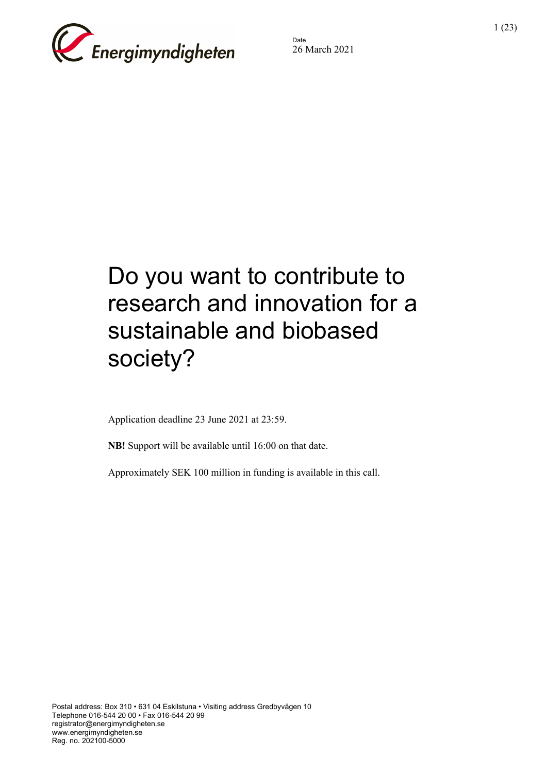

Date 26 March 2021

# Do you want to contribute to research and innovation for a sustainable and biobased society?

Application deadline 23 June 2021 at 23:59.

**NB!** Support will be available until 16:00 on that date.

Approximately SEK 100 million in funding is available in this call.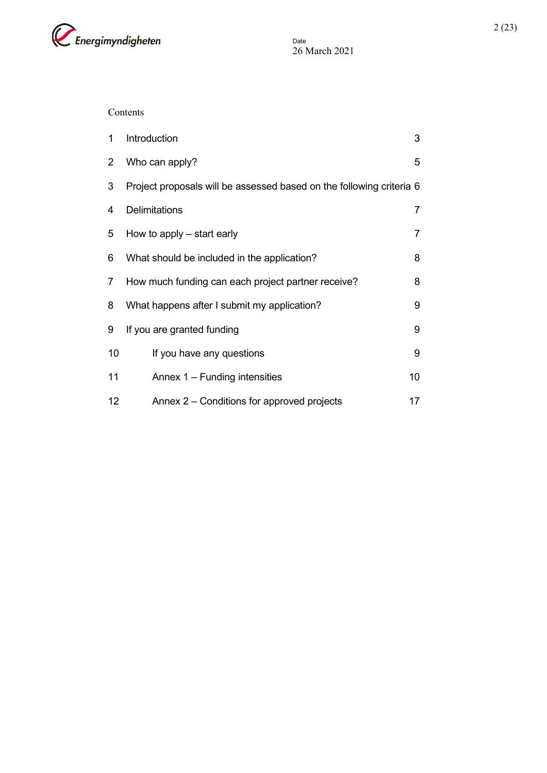

Contents

| 1              | Introduction                                                         | 3  |
|----------------|----------------------------------------------------------------------|----|
| $\overline{2}$ | Who can apply?                                                       | 5  |
| 3              | Project proposals will be assessed based on the following criteria 6 |    |
| 4              | Delimitations                                                        | 7  |
| 5              | How to apply $-$ start early                                         | 7  |
| 6              | What should be included in the application?                          | 8  |
| 7              | How much funding can each project partner receive?                   | 8  |
| 8              | What happens after I submit my application?                          | 9  |
| 9              | If you are granted funding                                           | 9  |
| 10             | If you have any questions                                            | 9  |
| 11             | Annex 1 - Funding intensities                                        | 10 |
| 12             | Annex 2 - Conditions for approved projects                           | 17 |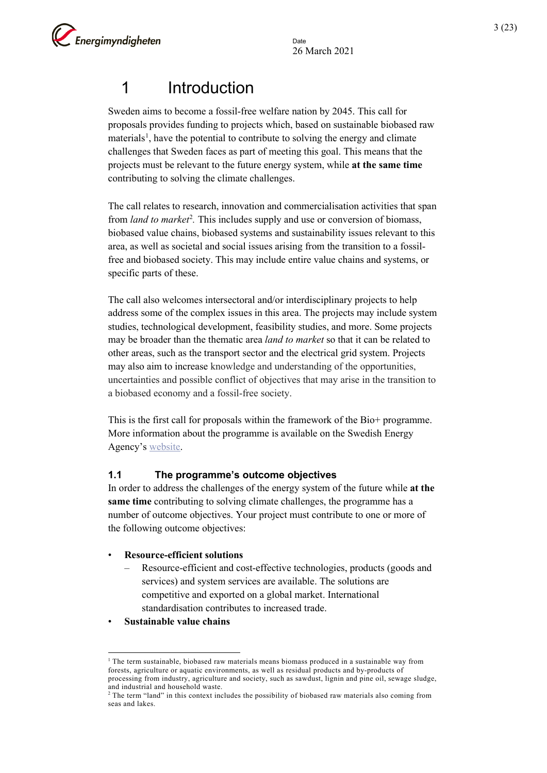Date 26 March 2021

<span id="page-2-0"></span>Sweden aims to become a fossil-free welfare nation by 2045. This call for proposals provides funding to projects which, based on sustainable biobased raw materials<sup>1</sup>, have the potential to contribute to solving the energy and climate challenges that Sweden faces as part of meeting this goal. This means that the projects must be relevant to the future energy system, while **at the same time** contributing to solving the climate challenges.

The call relates to research, innovation and commercialisation activities that span from *land to market*<sup>[2](#page-2-2)</sup>. This includes supply and use or conversion of biomass, biobased value chains, biobased systems and sustainability issues relevant to this area, as well as societal and social issues arising from the transition to a fossilfree and biobased society. This may include entire value chains and systems, or specific parts of these.

The call also welcomes intersectoral and/or interdisciplinary projects to help address some of the complex issues in this area. The projects may include system studies, technological development, feasibility studies, and more. Some projects may be broader than the thematic area *land to market* so that it can be related to other areas, such as the transport sector and the electrical grid system. Projects may also aim to increase knowledge and understanding of the opportunities, uncertainties and possible conflict of objectives that may arise in the transition to a biobased economy and a fossil-free society.

This is the first call for proposals within the framework of the Bio+ programme. More information about the programme is available on the Swedish Energy Agency's [website.](http://www.energimyndigheten.se/forskning-och-innovation/forskning/omraden-for-forskning/bioenergi/bio/)

## **1.1 The programme's outcome objectives**

In order to address the challenges of the energy system of the future while **at the same time** contributing to solving climate challenges, the programme has a number of outcome objectives. Your project must contribute to one or more of the following outcome objectives:

## • **Resource-efficient solutions**

- Resource-efficient and cost-effective technologies, products (goods and services) and system services are available. The solutions are competitive and exported on a global market. International standardisation contributes to increased trade.
- **Sustainable value chains**

<span id="page-2-1"></span><sup>&</sup>lt;sup>1</sup> The term sustainable, biobased raw materials means biomass produced in a sustainable way from forests, agriculture or aquatic environments, as well as residual products and by-products of processing from industry, agriculture and society, such as sawdust, lignin and pine oil, sewage sludge, and industrial and household waste.

<span id="page-2-2"></span><sup>&</sup>lt;sup>2</sup> The term "land" in this context includes the possibility of biobased raw materials also coming from seas and lakes.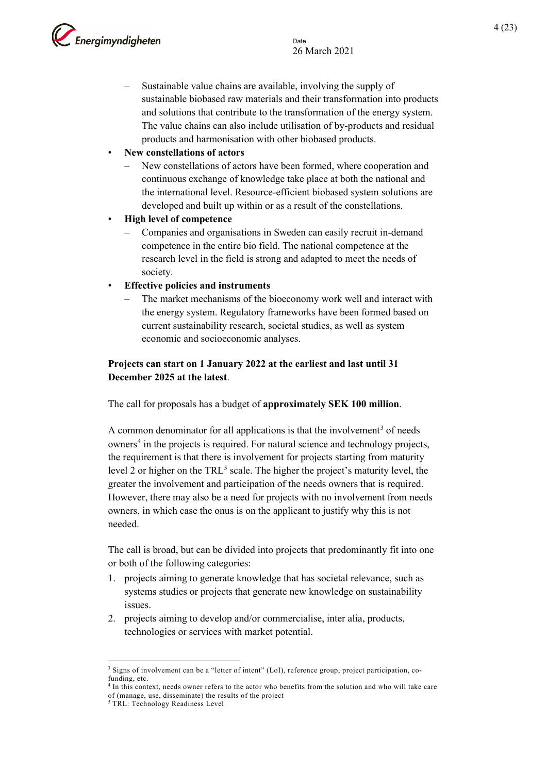

– Sustainable value chains are available, involving the supply of sustainable biobased raw materials and their transformation into products and solutions that contribute to the transformation of the energy system. The value chains can also include utilisation of by-products and residual products and harmonisation with other biobased products.

### • **New constellations of actors**

- New constellations of actors have been formed, where cooperation and continuous exchange of knowledge take place at both the national and the international level. Resource-efficient biobased system solutions are developed and built up within or as a result of the constellations.
- **High level of competence**
	- Companies and organisations in Sweden can easily recruit in-demand competence in the entire bio field. The national competence at the research level in the field is strong and adapted to meet the needs of society.
- **Effective policies and instruments** 
	- The market mechanisms of the bioeconomy work well and interact with the energy system. Regulatory frameworks have been formed based on current sustainability research, societal studies, as well as system economic and socioeconomic analyses.

## **Projects can start on 1 January 2022 at the earliest and last until 31 December 2025 at the latest**.

The call for proposals has a budget of **approximately SEK 100 million**.

A common denominator for all applications is that the involvement<sup>[3](#page-3-0)</sup> of needs owners<sup>[4](#page-3-1)</sup> in the projects is required. For natural science and technology projects, the requirement is that there is involvement for projects starting from maturity level 2 or higher on the TRL<sup>[5](#page-3-2)</sup> scale. The higher the project's maturity level, the greater the involvement and participation of the needs owners that is required. However, there may also be a need for projects with no involvement from needs owners, in which case the onus is on the applicant to justify why this is not needed.

The call is broad, but can be divided into projects that predominantly fit into one or both of the following categories:

- 1. projects aiming to generate knowledge that has societal relevance, such as systems studies or projects that generate new knowledge on sustainability issues.
- 2. projects aiming to develop and/or commercialise, inter alia, products, technologies or services with market potential.

<span id="page-3-0"></span><sup>&</sup>lt;sup>3</sup> Signs of involvement can be a "letter of intent" (LoI), reference group, project participation, cofunding, etc.

<span id="page-3-1"></span><sup>4</sup> In this context, needs owner refers to the actor who benefits from the solution and who will take care of (manage, use, disseminate) the results of the project

<span id="page-3-2"></span><sup>5</sup> TRL: Technology Readiness Level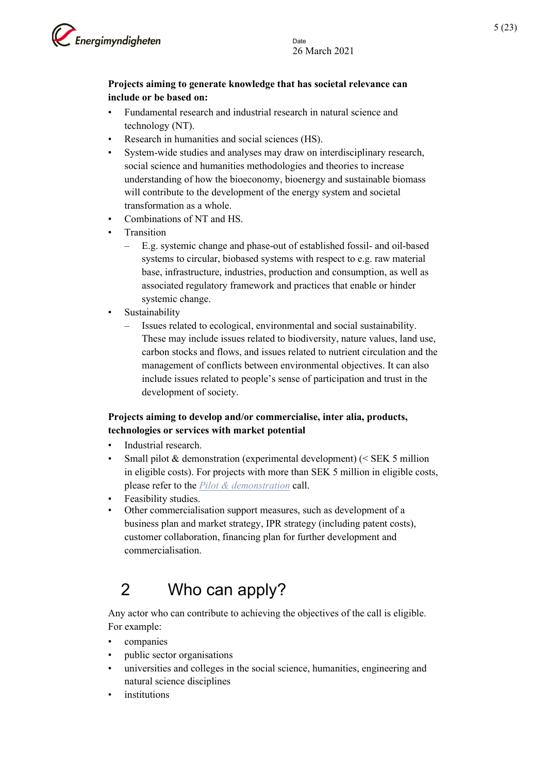## **Projects aiming to generate knowledge that has societal relevance can include or be based on:**

- Fundamental research and industrial research in natural science and technology (NT).
- Research in humanities and social sciences (HS).
- System-wide studies and analyses may draw on interdisciplinary research, social science and humanities methodologies and theories to increase understanding of how the bioeconomy, bioenergy and sustainable biomass will contribute to the development of the energy system and societal transformation as a whole.
- Combinations of NT and HS.
- **Transition** 
	- E.g. systemic change and phase-out of established fossil- and oil-based systems to circular, biobased systems with respect to e.g. raw material base, infrastructure, industries, production and consumption, as well as associated regulatory framework and practices that enable or hinder systemic change.
- **Sustainability** 
	- Issues related to ecological, environmental and social sustainability. These may include issues related to biodiversity, nature values, land use, carbon stocks and flows, and issues related to nutrient circulation and the management of conflicts between environmental objectives. It can also include issues related to people's sense of participation and trust in the development of society.

## **Projects aiming to develop and/or commercialise, inter alia, products, technologies or services with market potential**

- Industrial research.
- Small pilot  $&$  demonstration (experimental development) (< SEK 5 million in eligible costs). For projects with more than SEK 5 million in eligible costs, please refer to the *[Pilot & demonstration](http://www.energimyndigheten.se/forskning-och-innovation/forskning/verktyg-for-kommersialisering/demonstrationsprojekt/)* call.
- Feasibility studies.
- Other commercialisation support measures, such as development of a business plan and market strategy, IPR strategy (including patent costs), customer collaboration, financing plan for further development and commercialisation.

## <span id="page-4-0"></span>2 Who can apply?

Any actor who can contribute to achieving the objectives of the call is eligible. For example:

- companies
- public sector organisations
- universities and colleges in the social science, humanities, engineering and natural science disciplines
- *institutions*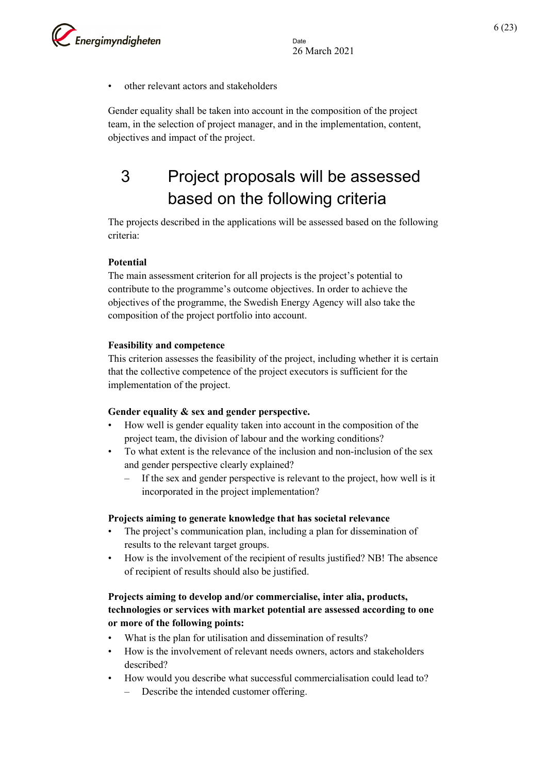• other relevant actors and stakeholders

Gender equality shall be taken into account in the composition of the project team, in the selection of project manager, and in the implementation, content, objectives and impact of the project.

## <span id="page-5-0"></span>3 Project proposals will be assessed based on the following criteria

The projects described in the applications will be assessed based on the following criteria:

## **Potential**

The main assessment criterion for all projects is the project's potential to contribute to the programme's outcome objectives. In order to achieve the objectives of the programme, the Swedish Energy Agency will also take the composition of the project portfolio into account.

## **Feasibility and competence**

This criterion assesses the feasibility of the project, including whether it is certain that the collective competence of the project executors is sufficient for the implementation of the project.

## **Gender equality & sex and gender perspective.**

- How well is gender equality taken into account in the composition of the project team, the division of labour and the working conditions?
- To what extent is the relevance of the inclusion and non-inclusion of the sex and gender perspective clearly explained?
	- If the sex and gender perspective is relevant to the project, how well is it incorporated in the project implementation?

#### **Projects aiming to generate knowledge that has societal relevance**

- The project's communication plan, including a plan for dissemination of results to the relevant target groups.
- How is the involvement of the recipient of results justified? NB! The absence of recipient of results should also be justified.

## **Projects aiming to develop and/or commercialise, inter alia, products, technologies or services with market potential are assessed according to one or more of the following points:**

- What is the plan for utilisation and dissemination of results?
- How is the involvement of relevant needs owners, actors and stakeholders described?
- How would you describe what successful commercialisation could lead to? Describe the intended customer offering.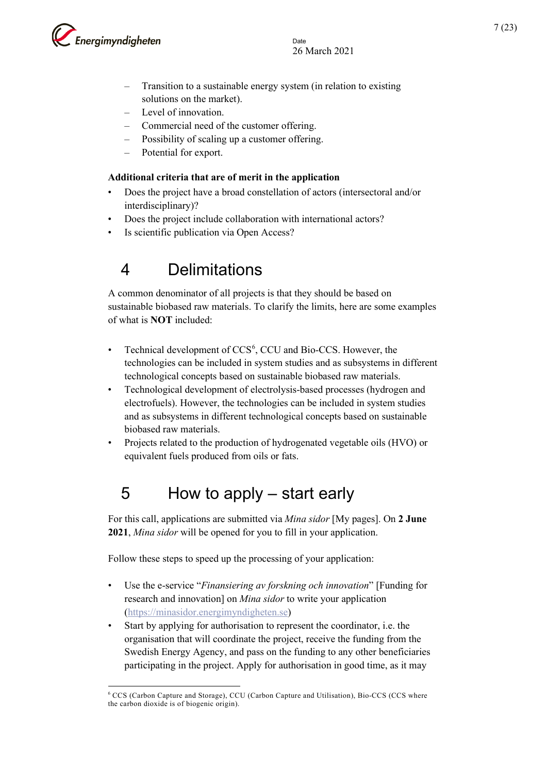

- Transition to a sustainable energy system (in relation to existing solutions on the market).
- Level of innovation.
- Commercial need of the customer offering.
- Possibility of scaling up a customer offering.
- Potential for export.

### **Additional criteria that are of merit in the application**

- Does the project have a broad constellation of actors (intersectoral and/or interdisciplinary)?
- Does the project include collaboration with international actors?
- Is scientific publication via Open Access?

## <span id="page-6-0"></span>4 Delimitations

A common denominator of all projects is that they should be based on sustainable biobased raw materials. To clarify the limits, here are some examples of what is **NOT** included:

- Technical development of  $CCS<sup>6</sup>$  $CCS<sup>6</sup>$  $CCS<sup>6</sup>$ , CCU and Bio-CCS. However, the technologies can be included in system studies and as subsystems in different technological concepts based on sustainable biobased raw materials.
- Technological development of electrolysis-based processes (hydrogen and electrofuels). However, the technologies can be included in system studies and as subsystems in different technological concepts based on sustainable biobased raw materials.
- Projects related to the production of hydrogenated vegetable oils (HVO) or equivalent fuels produced from oils or fats.

## <span id="page-6-1"></span>5 How to apply – start early

For this call, applications are submitted via *Mina sidor* [My pages]. On **2 June 2021**, *Mina sidor* will be opened for you to fill in your application.

Follow these steps to speed up the processing of your application:

- Use the e-service "*Finansiering av forskning och innovation*" [Funding for research and innovation] on *Mina sidor* to write your application [\(https://minasidor.energimyndigheten.se\)](https://minasidor.energimyndigheten.se/)
- Start by applying for authorisation to represent the coordinator, i.e. the organisation that will coordinate the project, receive the funding from the Swedish Energy Agency, and pass on the funding to any other beneficiaries participating in the project. Apply for authorisation in good time, as it may

<span id="page-6-2"></span><sup>6</sup> CCS (Carbon Capture and Storage), CCU (Carbon Capture and Utilisation), Bio-CCS (CCS where the carbon dioxide is of biogenic origin).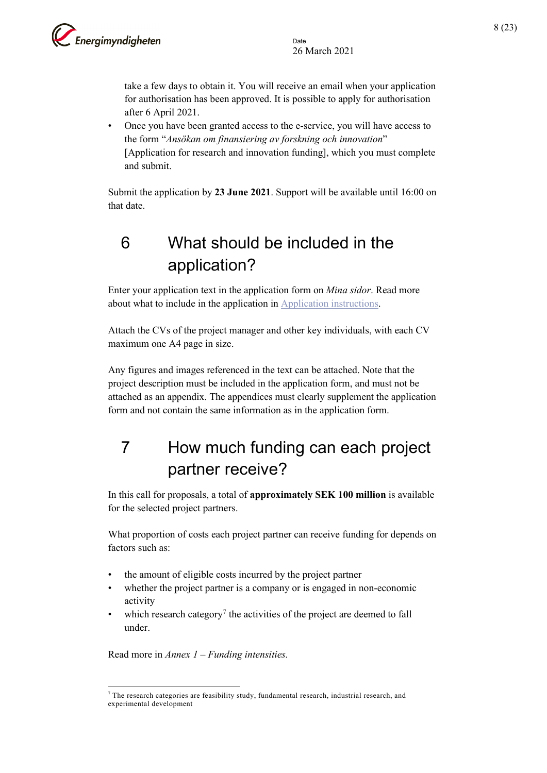

take a few days to obtain it. You will receive an email when your application for authorisation has been approved. It is possible to apply for authorisation after 6 April 2021.

• Once you have been granted access to the e-service, you will have access to the form "*Ansökan om finansiering av forskning och innovation*" [Application for research and innovation funding], which you must complete and submit.

Submit the application by **23 June 2021**. Support will be available until 16:00 on that date.

## <span id="page-7-0"></span>6 What should be included in the application?

Enter your application text in the application form on *Mina sidor*. Read more about what to include in the application in [Application instructions.](http://www.energimyndigheten.se/forskning-och-innovation/sok-stod-och-rapportera/anvisningar-for-ansokan-via-mina-sidor/)

Attach the CVs of the project manager and other key individuals, with each CV maximum one A4 page in size.

Any figures and images referenced in the text can be attached. Note that the project description must be included in the application form, and must not be attached as an appendix. The appendices must clearly supplement the application form and not contain the same information as in the application form.

## <span id="page-7-1"></span>7 How much funding can each project partner receive?

In this call for proposals, a total of **approximately SEK 100 million** is available for the selected project partners.

What proportion of costs each project partner can receive funding for depends on factors such as:

- the amount of eligible costs incurred by the project partner
- whether the project partner is a company or is engaged in non-economic activity
- which research category<sup>[7](#page-7-2)</sup> the activities of the project are deemed to fall under.

Read more in *Annex 1 – Funding intensities.* 

<span id="page-7-2"></span><sup>7</sup> The research categories are feasibility study, fundamental research, industrial research, and experimental development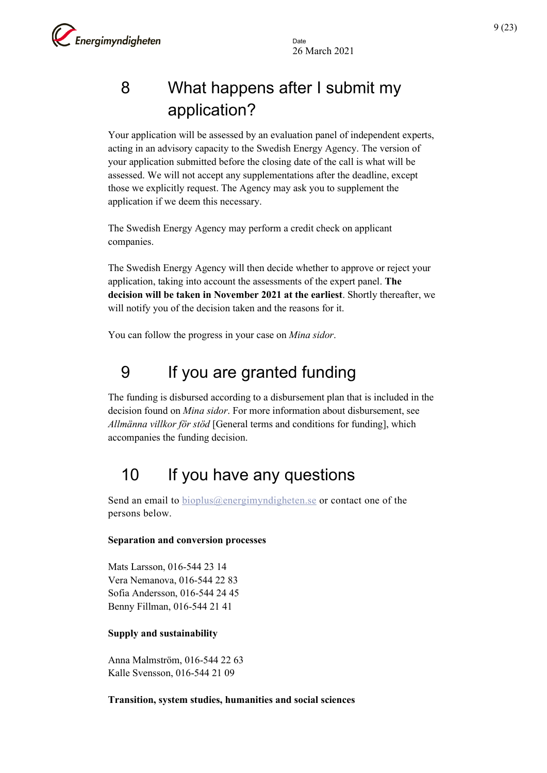## <span id="page-8-0"></span>8 What happens after I submit my application?

Your application will be assessed by an evaluation panel of independent experts, acting in an advisory capacity to the Swedish Energy Agency. The version of your application submitted before the closing date of the call is what will be assessed. We will not accept any supplementations after the deadline, except those we explicitly request. The Agency may ask you to supplement the application if we deem this necessary.

The Swedish Energy Agency may perform a credit check on applicant companies.

The Swedish Energy Agency will then decide whether to approve or reject your application, taking into account the assessments of the expert panel. **The decision will be taken in November 2021 at the earliest**. Shortly thereafter, we will notify you of the decision taken and the reasons for it.

You can follow the progress in your case on *Mina sidor*.

## <span id="page-8-1"></span>9 If you are granted funding

The funding is disbursed according to a disbursement plan that is included in the decision found on *Mina sidor*. For more information about disbursement, see *Allmänna villkor för stöd* [General terms and conditions for funding], which accompanies the funding decision.

## <span id="page-8-2"></span>10 If you have any questions

Send an email to bioplus@energimyndigheten.se or contact one of the persons below.

## **Separation and conversion processes**

Mats Larsson, 016-544 23 14 Vera Nemanova, 016-544 22 83 Sofia Andersson, 016-544 24 45 Benny Fillman, 016-544 21 41

## **Supply and sustainability**

Anna Malmström, 016-544 22 63 Kalle Svensson, 016-544 21 09

**Transition, system studies, humanities and social sciences**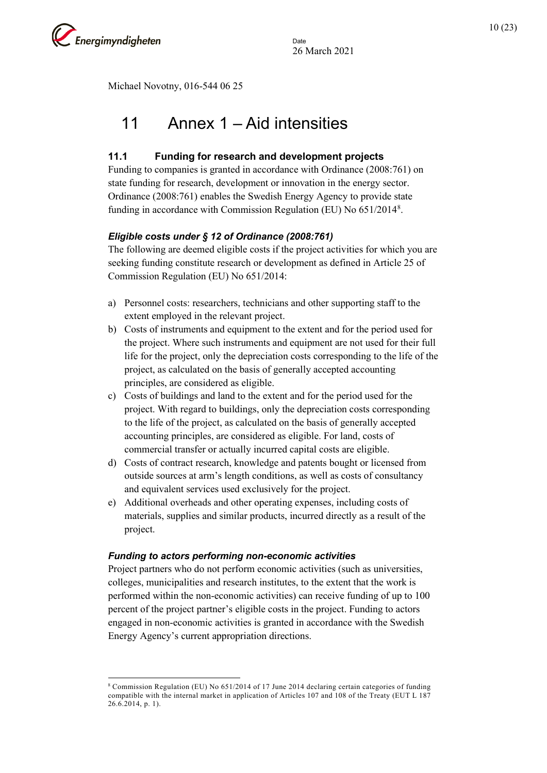

Michael Novotny, 016-544 06 25

## <span id="page-9-0"></span>11 Annex 1 – Aid intensities

## **11.1 Funding for research and development projects**

Funding to companies is granted in accordance with Ordinance (2008:761) on state funding for research, development or innovation in the energy sector. Ordinance (2008:761) enables the Swedish Energy Agency to provide state funding in accordance with Commission Regulation (EU) No 651/2014<sup>[8](#page-9-1)</sup>.

## *Eligible costs under § 12 of Ordinance (2008:761)*

The following are deemed eligible costs if the project activities for which you are seeking funding constitute research or development as defined in Article 25 of Commission Regulation (EU) No 651/2014:

- a) Personnel costs: researchers, technicians and other supporting staff to the extent employed in the relevant project.
- b) Costs of instruments and equipment to the extent and for the period used for the project. Where such instruments and equipment are not used for their full life for the project, only the depreciation costs corresponding to the life of the project, as calculated on the basis of generally accepted accounting principles, are considered as eligible.
- c) Costs of buildings and land to the extent and for the period used for the project. With regard to buildings, only the depreciation costs corresponding to the life of the project, as calculated on the basis of generally accepted accounting principles, are considered as eligible. For land, costs of commercial transfer or actually incurred capital costs are eligible.
- d) Costs of contract research, knowledge and patents bought or licensed from outside sources at arm's length conditions, as well as costs of consultancy and equivalent services used exclusively for the project.
- e) Additional overheads and other operating expenses, including costs of materials, supplies and similar products, incurred directly as a result of the project.

#### *Funding to actors performing non-economic activities*

Project partners who do not perform economic activities (such as universities, colleges, municipalities and research institutes, to the extent that the work is performed within the non-economic activities) can receive funding of up to 100 percent of the project partner's eligible costs in the project. Funding to actors engaged in non-economic activities is granted in accordance with the Swedish Energy Agency's current appropriation directions.

<span id="page-9-1"></span><sup>8</sup> Commission Regulation (EU) No 651/2014 of 17 June 2014 declaring certain categories of funding compatible with the internal market in application of Articles 107 and 108 of the Treaty (EUT L 187 26.6.2014, p. 1).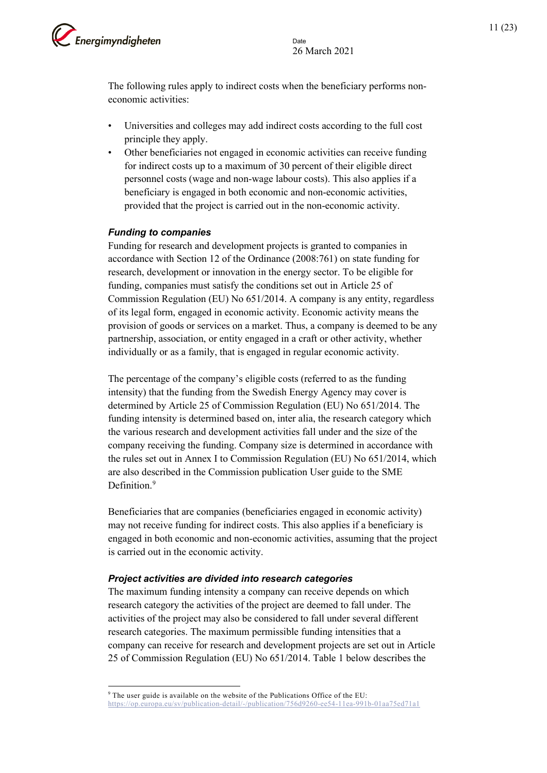

The following rules apply to indirect costs when the beneficiary performs noneconomic activities:

- Universities and colleges may add indirect costs according to the full cost principle they apply.
- Other beneficiaries not engaged in economic activities can receive funding for indirect costs up to a maximum of 30 percent of their eligible direct personnel costs (wage and non-wage labour costs). This also applies if a beneficiary is engaged in both economic and non-economic activities, provided that the project is carried out in the non-economic activity.

#### *Funding to companies*

Funding for research and development projects is granted to companies in accordance with Section 12 of the Ordinance (2008:761) on state funding for research, development or innovation in the energy sector. To be eligible for funding, companies must satisfy the conditions set out in Article 25 of Commission Regulation (EU) No 651/2014. A company is any entity, regardless of its legal form, engaged in economic activity. Economic activity means the provision of goods or services on a market. Thus, a company is deemed to be any partnership, association, or entity engaged in a craft or other activity, whether individually or as a family, that is engaged in regular economic activity.

The percentage of the company's eligible costs (referred to as the funding intensity) that the funding from the Swedish Energy Agency may cover is determined by Article 25 of Commission Regulation (EU) No 651/2014. The funding intensity is determined based on, inter alia, the research category which the various research and development activities fall under and the size of the company receiving the funding. Company size is determined in accordance with the rules set out in Annex I to Commission Regulation (EU) No 651/2014, which are also described in the Commission publication User guide to the SME Definition.<sup>[9](#page-10-0)</sup>

Beneficiaries that are companies (beneficiaries engaged in economic activity) may not receive funding for indirect costs. This also applies if a beneficiary is engaged in both economic and non-economic activities, assuming that the project is carried out in the economic activity.

#### *Project activities are divided into research categories*

The maximum funding intensity a company can receive depends on which research category the activities of the project are deemed to fall under. The activities of the project may also be considered to fall under several different research categories. The maximum permissible funding intensities that a company can receive for research and development projects are set out in Article 25 of Commission Regulation (EU) No 651/2014. Table 1 below describes the

<span id="page-10-0"></span><sup>&</sup>lt;sup>9</sup> The user guide is available on the website of the Publications Office of the EU:

<https://op.europa.eu/sv/publication-detail/-/publication/756d9260-ee54-11ea-991b-01aa75ed71a1>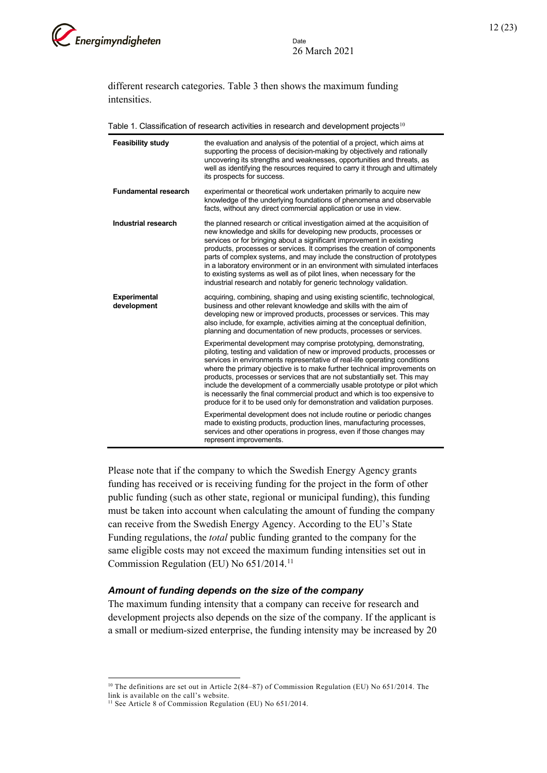

different research categories. Table 3 then shows the maximum funding intensities.

Table 1. Classification of research activities in research and development projects $10$ 

| <b>Feasibility study</b>           | the evaluation and analysis of the potential of a project, which aims at<br>supporting the process of decision-making by objectively and rationally<br>uncovering its strengths and weaknesses, opportunities and threats, as<br>well as identifying the resources required to carry it through and ultimately<br>its prospects for success.                                                                                                                                                                                                                                                                                |  |  |
|------------------------------------|-----------------------------------------------------------------------------------------------------------------------------------------------------------------------------------------------------------------------------------------------------------------------------------------------------------------------------------------------------------------------------------------------------------------------------------------------------------------------------------------------------------------------------------------------------------------------------------------------------------------------------|--|--|
| <b>Fundamental research</b>        | experimental or theoretical work undertaken primarily to acquire new<br>knowledge of the underlying foundations of phenomena and observable<br>facts, without any direct commercial application or use in view.                                                                                                                                                                                                                                                                                                                                                                                                             |  |  |
| Industrial research                | the planned research or critical investigation aimed at the acquisition of<br>new knowledge and skills for developing new products, processes or<br>services or for bringing about a significant improvement in existing<br>products, processes or services. It comprises the creation of components<br>parts of complex systems, and may include the construction of prototypes<br>in a laboratory environment or in an environment with simulated interfaces<br>to existing systems as well as of pilot lines, when necessary for the<br>industrial research and notably for generic technology validation.               |  |  |
| <b>Experimental</b><br>development | acquiring, combining, shaping and using existing scientific, technological,<br>business and other relevant knowledge and skills with the aim of<br>developing new or improved products, processes or services. This may<br>also include, for example, activities aiming at the conceptual definition,<br>planning and documentation of new products, processes or services.                                                                                                                                                                                                                                                 |  |  |
|                                    | Experimental development may comprise prototyping, demonstrating,<br>piloting, testing and validation of new or improved products, processes or<br>services in environments representative of real-life operating conditions<br>where the primary objective is to make further technical improvements on<br>products, processes or services that are not substantially set. This may<br>include the development of a commercially usable prototype or pilot which<br>is necessarily the final commercial product and which is too expensive to<br>produce for it to be used only for demonstration and validation purposes. |  |  |
|                                    | Experimental development does not include routine or periodic changes<br>made to existing products, production lines, manufacturing processes,<br>services and other operations in progress, even if those changes may<br>represent improvements.                                                                                                                                                                                                                                                                                                                                                                           |  |  |

Please note that if the company to which the Swedish Energy Agency grants funding has received or is receiving funding for the project in the form of other public funding (such as other state, regional or municipal funding), this funding must be taken into account when calculating the amount of funding the company can receive from the Swedish Energy Agency. According to the EU's State Funding regulations, the *total* public funding granted to the company for the same eligible costs may not exceed the maximum funding intensities set out in Commission Regulation (EU) No 651/2014.[11](#page-12-0)

#### *Amount of funding depends on the size of the company*

The maximum funding intensity that a company can receive for research and development projects also depends on the size of the company. If the applicant is a small or medium-sized enterprise, the funding intensity may be increased by 20

<span id="page-11-0"></span><sup>&</sup>lt;sup>10</sup> The definitions are set out in Article 2(84–87) of Commission Regulation (EU) No 651/2014. The link is available on the call's website.

<sup>&</sup>lt;sup>11</sup> See Article 8 of Commission Regulation (EU) No 651/2014.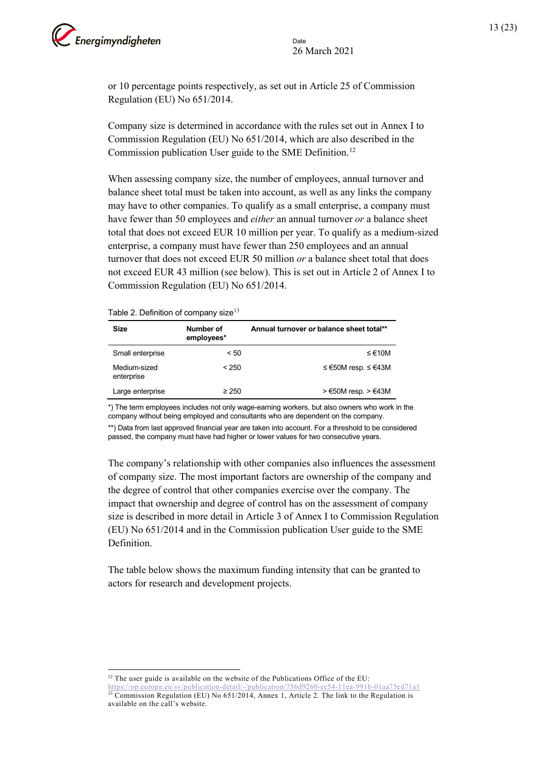or 10 percentage points respectively, as set out in Article 25 of Commission Regulation (EU) No 651/2014.

Company size is determined in accordance with the rules set out in Annex I to Commission Regulation (EU) No 651/2014, which are also described in the Commission publication User guide to the SME Definition.<sup>[12](#page-12-1)</sup>

When assessing company size, the number of employees, annual turnover and balance sheet total must be taken into account, as well as any links the company may have to other companies. To qualify as a small enterprise, a company must have fewer than 50 employees and *either* an annual turnover *or* a balance sheet total that does not exceed EUR 10 million per year. To qualify as a medium-sized enterprise, a company must have fewer than 250 employees and an annual turnover that does not exceed EUR 50 million *or* a balance sheet total that does not exceed EUR 43 million (see below). This is set out in Article 2 of Annex I to Commission Regulation (EU) No 651/2014.

|  |  | Table 2. Definition of company size <sup>13</sup> |  |
|--|--|---------------------------------------------------|--|
|--|--|---------------------------------------------------|--|

| <b>Size</b>                | Number of<br>employees* | Annual turnover or balance sheet total** |
|----------------------------|-------------------------|------------------------------------------|
| Small enterprise           | < 50                    | ≤ €10M                                   |
| Medium-sized<br>enterprise | < 250                   | ≤ €50M resp. $\leq$ €43M                 |
| Large enterprise           | $\geq 250$              | > €50M resp. > €43M                      |

\*) The term employees includes not only wage-earning workers, but also owners who work in the company without being employed and consultants who are dependent on the company.

\*\*) Data from last approved financial year are taken into account. For a threshold to be considered passed, the company must have had higher or lower values for two consecutive years.

The company's relationship with other companies also influences the assessment of company size. The most important factors are ownership of the company and the degree of control that other companies exercise over the company. The impact that ownership and degree of control has on the assessment of company size is described in more detail in Article 3 of Annex I to Commission Regulation (EU) No 651/2014 and in the Commission publication User guide to the SME Definition.

The table below shows the maximum funding intensity that can be granted to actors for research and development projects.

<span id="page-12-1"></span><span id="page-12-0"></span> $12$  The user guide is available on the website of the Publications Office of the EU:

<span id="page-12-2"></span>ttps://op.europa.eu/sv/publication-detail/-/publication/756d9260-ee54-11ea-991b-01aa75ed71a1 https://op.europa.eu/sv/publication-detail/-/publication/1000/2000 000111000/20001110113<br><sup>13</sup> Commission Regulation (EU) No 651/2014, Annex 1, Article 2. The link to the Regulation is available on the call's website.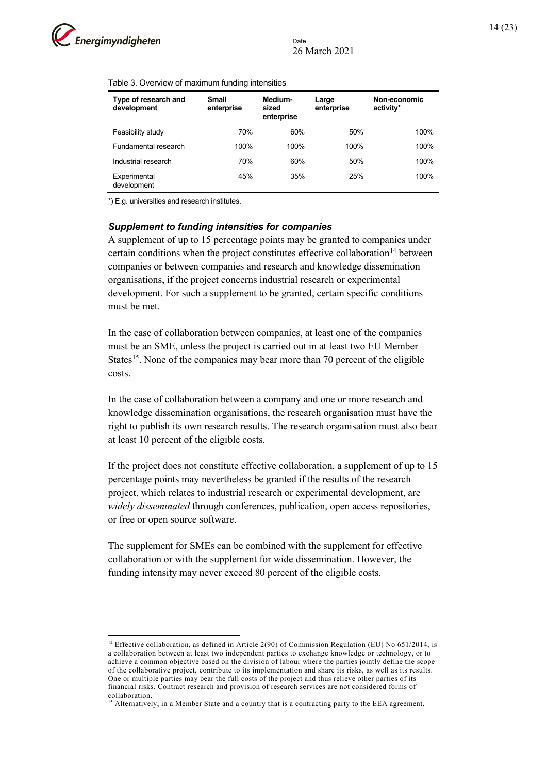| Type of research and<br>development | <b>Small</b><br>enterprise | Medium-<br>sized<br>enterprise | Large<br>enterprise | Non-economic<br>activity* |
|-------------------------------------|----------------------------|--------------------------------|---------------------|---------------------------|
| Feasibility study                   | 70%                        | 60%                            | 50%                 | 100%                      |
| Fundamental research                | 100%                       | 100%                           | 100%                | 100%                      |
| Industrial research                 | 70%                        | 60%                            | 50%                 | 100%                      |
| Experimental<br>development         | 45%                        | 35%                            | 25%                 | 100%                      |

#### Table 3. Overview of maximum funding intensities

\*) E.g. universities and research institutes.

#### *Supplement to funding intensities for companies*

A supplement of up to 15 percentage points may be granted to companies under certain conditions when the project constitutes effective collaboration<sup>[14](#page-13-0)</sup> between companies or between companies and research and knowledge dissemination organisations, if the project concerns industrial research or experimental development. For such a supplement to be granted, certain specific conditions must be met.

In the case of collaboration between companies, at least one of the companies must be an SME, unless the project is carried out in at least two EU Member States<sup>[15](#page-13-1)</sup>. None of the companies may bear more than 70 percent of the eligible costs.

In the case of collaboration between a company and one or more research and knowledge dissemination organisations, the research organisation must have the right to publish its own research results. The research organisation must also bear at least 10 percent of the eligible costs.

If the project does not constitute effective collaboration, a supplement of up to 15 percentage points may nevertheless be granted if the results of the research project, which relates to industrial research or experimental development, are *widely disseminated* through conferences, publication, open access repositories, or free or open source software.

The supplement for SMEs can be combined with the supplement for effective collaboration or with the supplement for wide dissemination. However, the funding intensity may never exceed 80 percent of the eligible costs.

<span id="page-13-0"></span><sup>&</sup>lt;sup>14</sup> Effective collaboration, as defined in Article 2(90) of Commission Regulation (EU) No 651/2014, is a collaboration between at least two independent parties to exchange knowledge or technology, or to achieve a common objective based on the division of labour where the parties jointly define the scope of the collaborative project, contribute to its implementation and share its risks, as well as its results. One or multiple parties may bear the full costs of the project and thus relieve other parties of its financial risks. Contract research and provision of research services are not considered forms of collaboration.

<span id="page-13-1"></span><sup>&</sup>lt;sup>15</sup> Alternatively, in a Member State and a country that is a contracting party to the EEA agreement.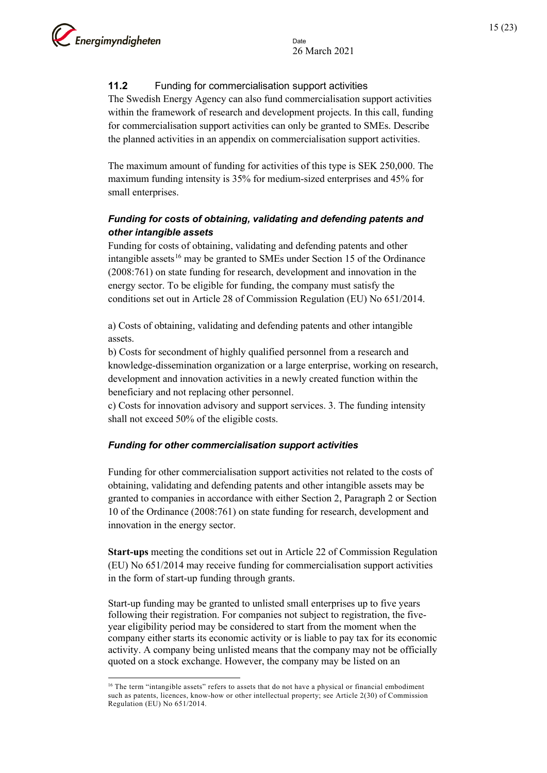## **11.2** Funding for commercialisation support activities

The Swedish Energy Agency can also fund commercialisation support activities within the framework of research and development projects. In this call, funding for commercialisation support activities can only be granted to SMEs. Describe the planned activities in an appendix on commercialisation support activities.

The maximum amount of funding for activities of this type is SEK 250,000. The maximum funding intensity is 35% for medium-sized enterprises and 45% for small enterprises.

## *Funding for costs of obtaining, validating and defending patents and other intangible assets*

Funding for costs of obtaining, validating and defending patents and other intangible assets<sup>[16](#page-14-0)</sup> may be granted to SMEs under Section 15 of the Ordinance (2008:761) on state funding for research, development and innovation in the energy sector. To be eligible for funding, the company must satisfy the conditions set out in Article 28 of Commission Regulation (EU) No 651/2014.

a) Costs of obtaining, validating and defending patents and other intangible assets.

b) Costs for secondment of highly qualified personnel from a research and knowledge-dissemination organization or a large enterprise, working on research, development and innovation activities in a newly created function within the beneficiary and not replacing other personnel.

c) Costs for innovation advisory and support services. 3. The funding intensity shall not exceed 50% of the eligible costs.

## *Funding for other commercialisation support activities*

Funding for other commercialisation support activities not related to the costs of obtaining, validating and defending patents and other intangible assets may be granted to companies in accordance with either Section 2, Paragraph 2 or Section 10 of the Ordinance (2008:761) on state funding for research, development and innovation in the energy sector.

**Start-ups** meeting the conditions set out in Article 22 of Commission Regulation (EU) No 651/2014 may receive funding for commercialisation support activities in the form of start-up funding through grants.

Start-up funding may be granted to unlisted small enterprises up to five years following their registration. For companies not subject to registration, the fiveyear eligibility period may be considered to start from the moment when the company either starts its economic activity or is liable to pay tax for its economic activity. A company being unlisted means that the company may not be officially quoted on a stock exchange. However, the company may be listed on an

<span id="page-14-0"></span><sup>&</sup>lt;sup>16</sup> The term "intangible assets" refers to assets that do not have a physical or financial embodiment such as patents, licences, know-how or other intellectual property; see Article 2(30) of Commission Regulation (EU) No 651/2014.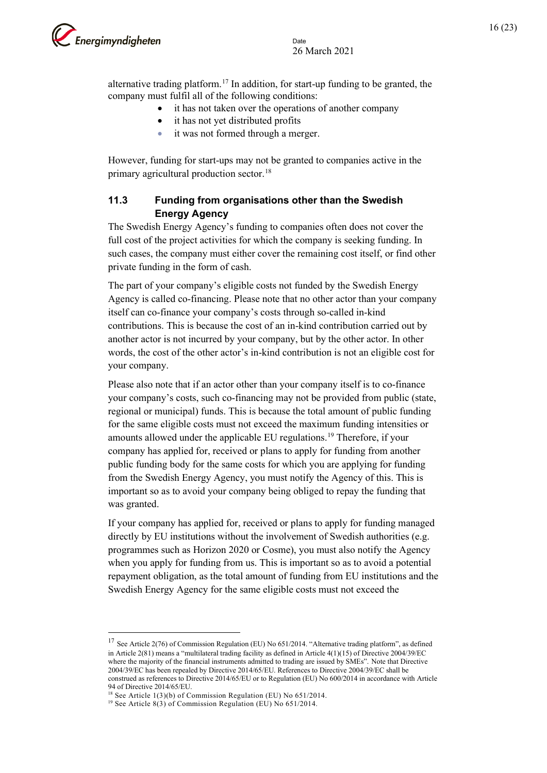

alternative trading platform.<sup>[17](#page-15-0)</sup> In addition, for start-up funding to be granted, the company must fulfil all of the following conditions:

- it has not taken over the operations of another company
- it has not yet distributed profits
- it was not formed through a merger.

However, funding for start-ups may not be granted to companies active in the primary agricultural production sector.<sup>[18](#page-15-1)</sup>

## **11.3 Funding from organisations other than the Swedish Energy Agency**

The Swedish Energy Agency's funding to companies often does not cover the full cost of the project activities for which the company is seeking funding. In such cases, the company must either cover the remaining cost itself, or find other private funding in the form of cash.

The part of your company's eligible costs not funded by the Swedish Energy Agency is called co-financing. Please note that no other actor than your company itself can co-finance your company's costs through so-called in-kind contributions. This is because the cost of an in-kind contribution carried out by another actor is not incurred by your company, but by the other actor. In other words, the cost of the other actor's in-kind contribution is not an eligible cost for your company.

Please also note that if an actor other than your company itself is to co-finance your company's costs, such co-financing may not be provided from public (state, regional or municipal) funds. This is because the total amount of public funding for the same eligible costs must not exceed the maximum funding intensities or amounts allowed under the applicable EU regulations.[19](#page-15-2) Therefore, if your company has applied for, received or plans to apply for funding from another public funding body for the same costs for which you are applying for funding from the Swedish Energy Agency, you must notify the Agency of this. This is important so as to avoid your company being obliged to repay the funding that was granted.

If your company has applied for, received or plans to apply for funding managed directly by EU institutions without the involvement of Swedish authorities (e.g. programmes such as Horizon 2020 or Cosme), you must also notify the Agency when you apply for funding from us. This is important so as to avoid a potential repayment obligation, as the total amount of funding from EU institutions and the Swedish Energy Agency for the same eligible costs must not exceed the

<span id="page-15-0"></span><sup>&</sup>lt;sup>17</sup> See Article 2(76) of Commission Regulation (EU) No 651/2014. "Alternative trading platform", as defined in Article 2(81) means a "multilateral trading facility as defined in Article 4(1)(15) of Directive 2004/39/EC where the majority of the financial instruments admitted to trading are issued by SMEs". Note that Directive 2004/39/EC has been repealed by Directive 2014/65/EU. References to Directive 2004/39/EC shall be construed as references to Directive 2014/65/EU or to Regulation (EU) No 600/2014 in accordance with Article 94 of Directive 2014/65/EU.<br><sup>18</sup> See Article 1(3)(b) of Commission Regulation (EU) No 651/2014.

<span id="page-15-2"></span><span id="page-15-1"></span><sup>&</sup>lt;sup>19</sup> See Article  $8(3)$  of Commission Regulation (EU) No 651/2014.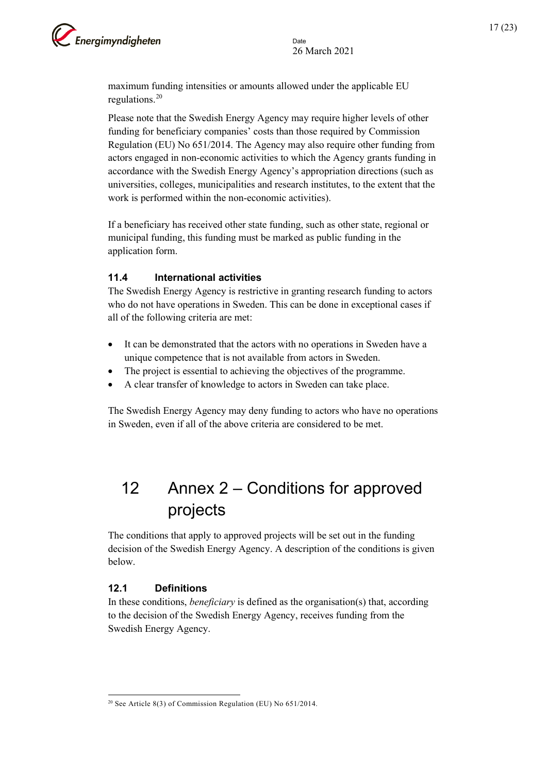

maximum funding intensities or amounts allowed under the applicable EU regulations.[20](#page-16-1)

Please note that the Swedish Energy Agency may require higher levels of other funding for beneficiary companies' costs than those required by Commission Regulation (EU) No 651/2014. The Agency may also require other funding from actors engaged in non-economic activities to which the Agency grants funding in accordance with the Swedish Energy Agency's appropriation directions (such as universities, colleges, municipalities and research institutes, to the extent that the work is performed within the non-economic activities).

If a beneficiary has received other state funding, such as other state, regional or municipal funding, this funding must be marked as public funding in the application form.

## **11.4 International activities**

The Swedish Energy Agency is restrictive in granting research funding to actors who do not have operations in Sweden. This can be done in exceptional cases if all of the following criteria are met:

- It can be demonstrated that the actors with no operations in Sweden have a unique competence that is not available from actors in Sweden.
- The project is essential to achieving the objectives of the programme.
- A clear transfer of knowledge to actors in Sweden can take place.

The Swedish Energy Agency may deny funding to actors who have no operations in Sweden, even if all of the above criteria are considered to be met.

## <span id="page-16-0"></span>12 Annex 2 – Conditions for approved projects

The conditions that apply to approved projects will be set out in the funding decision of the Swedish Energy Agency. A description of the conditions is given below.

## **12.1 Definitions**

In these conditions, *beneficiary* is defined as the organisation(s) that, according to the decision of the Swedish Energy Agency, receives funding from the Swedish Energy Agency.

<span id="page-16-1"></span><sup>&</sup>lt;sup>20</sup> See Article 8(3) of Commission Regulation (EU) No  $651/2014$ .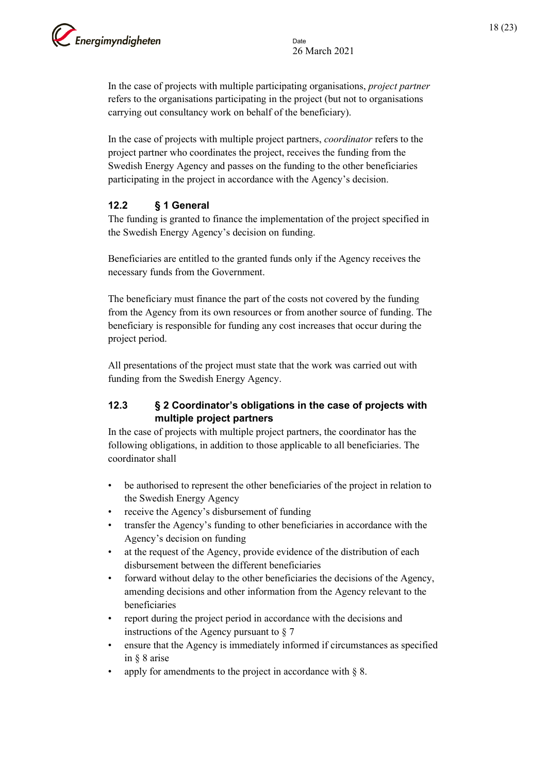In the case of projects with multiple participating organisations, *project partner*  refers to the organisations participating in the project (but not to organisations carrying out consultancy work on behalf of the beneficiary).

In the case of projects with multiple project partners, *coordinator* refers to the project partner who coordinates the project, receives the funding from the Swedish Energy Agency and passes on the funding to the other beneficiaries participating in the project in accordance with the Agency's decision.

## **12.2 § 1 General**

The funding is granted to finance the implementation of the project specified in the Swedish Energy Agency's decision on funding.

Beneficiaries are entitled to the granted funds only if the Agency receives the necessary funds from the Government.

The beneficiary must finance the part of the costs not covered by the funding from the Agency from its own resources or from another source of funding. The beneficiary is responsible for funding any cost increases that occur during the project period.

All presentations of the project must state that the work was carried out with funding from the Swedish Energy Agency.

## **12.3 § 2 Coordinator's obligations in the case of projects with multiple project partners**

In the case of projects with multiple project partners, the coordinator has the following obligations, in addition to those applicable to all beneficiaries. The coordinator shall

- be authorised to represent the other beneficiaries of the project in relation to the Swedish Energy Agency
- receive the Agency's disbursement of funding
- transfer the Agency's funding to other beneficiaries in accordance with the Agency's decision on funding
- at the request of the Agency, provide evidence of the distribution of each disbursement between the different beneficiaries
- forward without delay to the other beneficiaries the decisions of the Agency, amending decisions and other information from the Agency relevant to the beneficiaries
- report during the project period in accordance with the decisions and instructions of the Agency pursuant to § 7
- ensure that the Agency is immediately informed if circumstances as specified in § 8 arise
- apply for amendments to the project in accordance with  $\S$  8.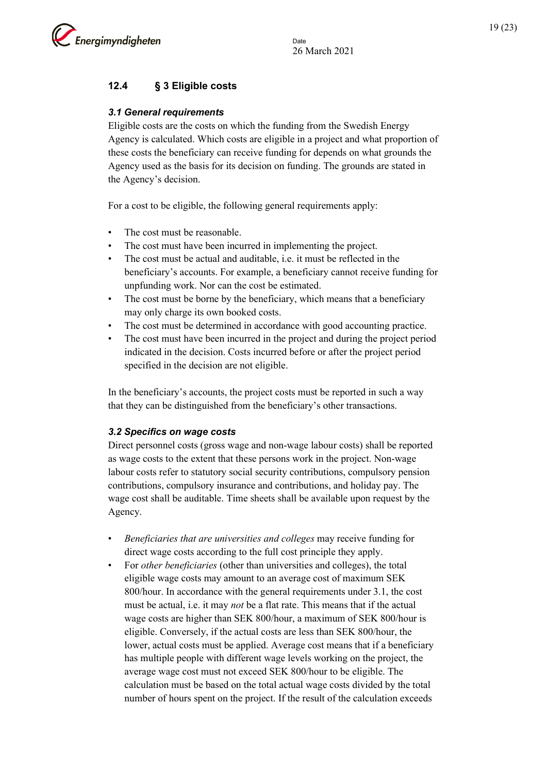

## **12.4 § 3 Eligible costs**

#### *3.1 General requirements*

Eligible costs are the costs on which the funding from the Swedish Energy Agency is calculated. Which costs are eligible in a project and what proportion of these costs the beneficiary can receive funding for depends on what grounds the Agency used as the basis for its decision on funding. The grounds are stated in the Agency's decision.

For a cost to be eligible, the following general requirements apply:

- The cost must be reasonable.
- The cost must have been incurred in implementing the project.
- The cost must be actual and auditable, *i.e.* it must be reflected in the beneficiary's accounts. For example, a beneficiary cannot receive funding for unpfunding work. Nor can the cost be estimated.
- The cost must be borne by the beneficiary, which means that a beneficiary may only charge its own booked costs.
- The cost must be determined in accordance with good accounting practice.
- The cost must have been incurred in the project and during the project period indicated in the decision. Costs incurred before or after the project period specified in the decision are not eligible.

In the beneficiary's accounts, the project costs must be reported in such a way that they can be distinguished from the beneficiary's other transactions.

## *3.2 Specifics on wage costs*

Direct personnel costs (gross wage and non-wage labour costs) shall be reported as wage costs to the extent that these persons work in the project. Non-wage labour costs refer to statutory social security contributions, compulsory pension contributions, compulsory insurance and contributions, and holiday pay. The wage cost shall be auditable. Time sheets shall be available upon request by the Agency.

- *Beneficiaries that are universities and colleges* may receive funding for direct wage costs according to the full cost principle they apply.
- For *other beneficiaries* (other than universities and colleges), the total eligible wage costs may amount to an average cost of maximum SEK 800/hour. In accordance with the general requirements under 3.1, the cost must be actual, i.e. it may *not* be a flat rate. This means that if the actual wage costs are higher than SEK 800/hour, a maximum of SEK 800/hour is eligible. Conversely, if the actual costs are less than SEK 800/hour, the lower, actual costs must be applied. Average cost means that if a beneficiary has multiple people with different wage levels working on the project, the average wage cost must not exceed SEK 800/hour to be eligible. The calculation must be based on the total actual wage costs divided by the total number of hours spent on the project. If the result of the calculation exceeds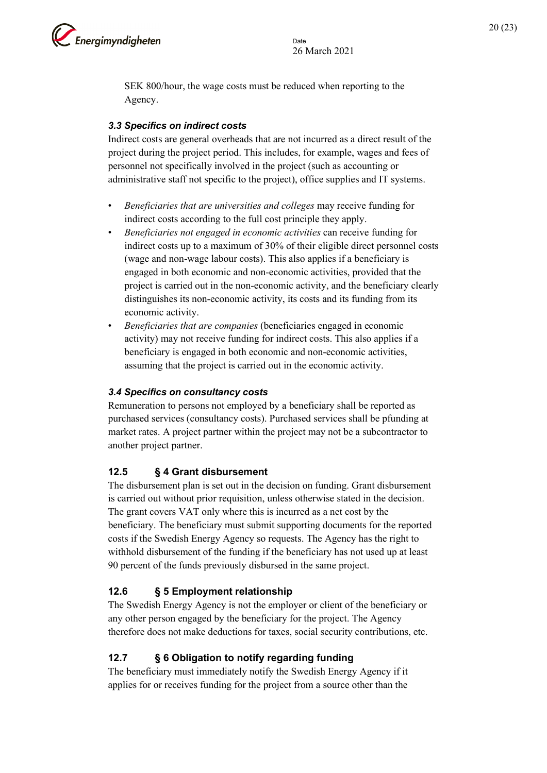

SEK 800/hour, the wage costs must be reduced when reporting to the Agency.

#### *3.3 Specifics on indirect costs*

Indirect costs are general overheads that are not incurred as a direct result of the project during the project period. This includes, for example, wages and fees of personnel not specifically involved in the project (such as accounting or administrative staff not specific to the project), office supplies and IT systems.

- *Beneficiaries that are universities and colleges* may receive funding for indirect costs according to the full cost principle they apply.
- *Beneficiaries not engaged in economic activities* can receive funding for indirect costs up to a maximum of 30% of their eligible direct personnel costs (wage and non-wage labour costs). This also applies if a beneficiary is engaged in both economic and non-economic activities, provided that the project is carried out in the non-economic activity, and the beneficiary clearly distinguishes its non-economic activity, its costs and its funding from its economic activity.
- *Beneficiaries that are companies* (beneficiaries engaged in economic activity) may not receive funding for indirect costs. This also applies if a beneficiary is engaged in both economic and non-economic activities, assuming that the project is carried out in the economic activity.

#### *3.4 Specifics on consultancy costs*

Remuneration to persons not employed by a beneficiary shall be reported as purchased services (consultancy costs). Purchased services shall be pfunding at market rates. A project partner within the project may not be a subcontractor to another project partner.

## **12.5 § 4 Grant disbursement**

The disbursement plan is set out in the decision on funding. Grant disbursement is carried out without prior requisition, unless otherwise stated in the decision. The grant covers VAT only where this is incurred as a net cost by the beneficiary. The beneficiary must submit supporting documents for the reported costs if the Swedish Energy Agency so requests. The Agency has the right to withhold disbursement of the funding if the beneficiary has not used up at least 90 percent of the funds previously disbursed in the same project.

#### **12.6 § 5 Employment relationship**

The Swedish Energy Agency is not the employer or client of the beneficiary or any other person engaged by the beneficiary for the project. The Agency therefore does not make deductions for taxes, social security contributions, etc.

#### **12.7 § 6 Obligation to notify regarding funding**

The beneficiary must immediately notify the Swedish Energy Agency if it applies for or receives funding for the project from a source other than the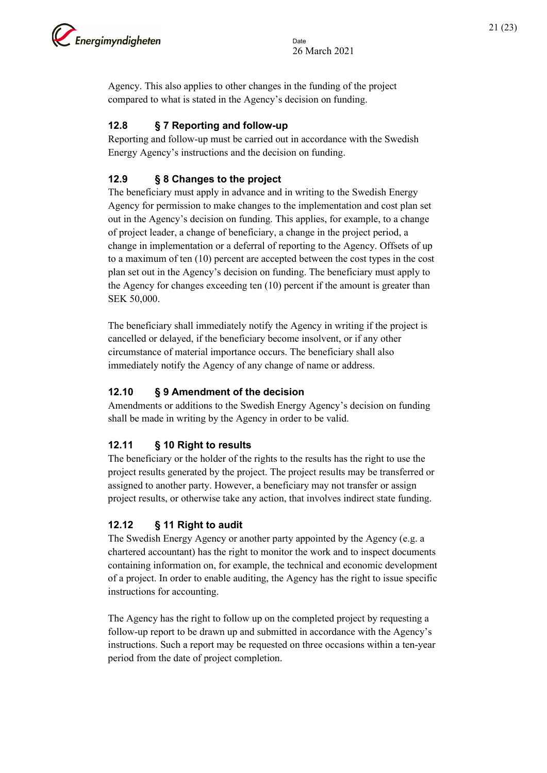

Agency. This also applies to other changes in the funding of the project compared to what is stated in the Agency's decision on funding.

## **12.8 § 7 Reporting and follow-up**

Reporting and follow-up must be carried out in accordance with the Swedish Energy Agency's instructions and the decision on funding.

## **12.9 § 8 Changes to the project**

The beneficiary must apply in advance and in writing to the Swedish Energy Agency for permission to make changes to the implementation and cost plan set out in the Agency's decision on funding. This applies, for example, to a change of project leader, a change of beneficiary, a change in the project period, a change in implementation or a deferral of reporting to the Agency. Offsets of up to a maximum of ten (10) percent are accepted between the cost types in the cost plan set out in the Agency's decision on funding. The beneficiary must apply to the Agency for changes exceeding ten (10) percent if the amount is greater than SEK 50,000.

The beneficiary shall immediately notify the Agency in writing if the project is cancelled or delayed, if the beneficiary become insolvent, or if any other circumstance of material importance occurs. The beneficiary shall also immediately notify the Agency of any change of name or address.

## **12.10 § 9 Amendment of the decision**

Amendments or additions to the Swedish Energy Agency's decision on funding shall be made in writing by the Agency in order to be valid.

## **12.11 § 10 Right to results**

The beneficiary or the holder of the rights to the results has the right to use the project results generated by the project. The project results may be transferred or assigned to another party. However, a beneficiary may not transfer or assign project results, or otherwise take any action, that involves indirect state funding.

## **12.12 § 11 Right to audit**

The Swedish Energy Agency or another party appointed by the Agency (e.g. a chartered accountant) has the right to monitor the work and to inspect documents containing information on, for example, the technical and economic development of a project. In order to enable auditing, the Agency has the right to issue specific instructions for accounting.

The Agency has the right to follow up on the completed project by requesting a follow-up report to be drawn up and submitted in accordance with the Agency's instructions. Such a report may be requested on three occasions within a ten-year period from the date of project completion.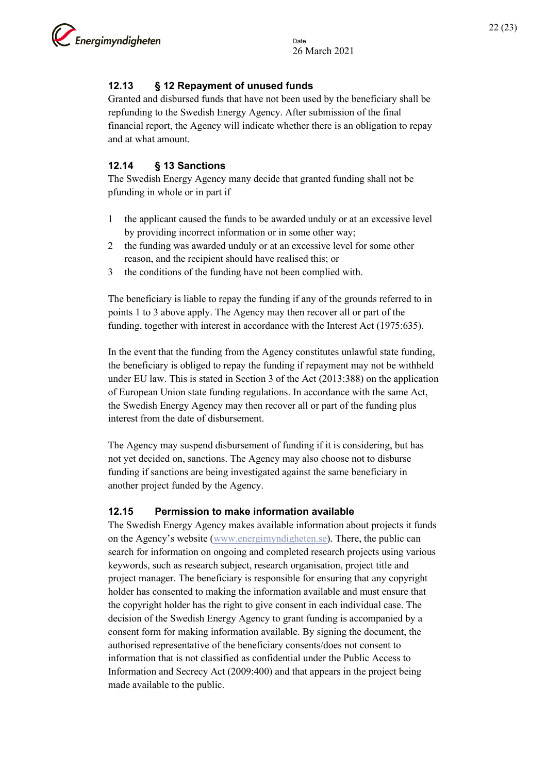## **12.13 § 12 Repayment of unused funds**

Granted and disbursed funds that have not been used by the beneficiary shall be repfunding to the Swedish Energy Agency. After submission of the final financial report, the Agency will indicate whether there is an obligation to repay and at what amount.

## **12.14 § 13 Sanctions**

The Swedish Energy Agency many decide that granted funding shall not be pfunding in whole or in part if

- 1 the applicant caused the funds to be awarded unduly or at an excessive level by providing incorrect information or in some other way;
- 2 the funding was awarded unduly or at an excessive level for some other reason, and the recipient should have realised this; or
- 3 the conditions of the funding have not been complied with.

The beneficiary is liable to repay the funding if any of the grounds referred to in points 1 to 3 above apply. The Agency may then recover all or part of the funding, together with interest in accordance with the Interest Act (1975:635).

In the event that the funding from the Agency constitutes unlawful state funding, the beneficiary is obliged to repay the funding if repayment may not be withheld under EU law. This is stated in Section 3 of the Act (2013:388) on the application of European Union state funding regulations. In accordance with the same Act, the Swedish Energy Agency may then recover all or part of the funding plus interest from the date of disbursement.

The Agency may suspend disbursement of funding if it is considering, but has not yet decided on, sanctions. The Agency may also choose not to disburse funding if sanctions are being investigated against the same beneficiary in another project funded by the Agency.

## **12.15 Permission to make information available**

The Swedish Energy Agency makes available information about projects it funds on the Agency's website [\(www.energimyndigheten.se\)](http://www.energimyndigheten.se/). There, the public can search for information on ongoing and completed research projects using various keywords, such as research subject, research organisation, project title and project manager. The beneficiary is responsible for ensuring that any copyright holder has consented to making the information available and must ensure that the copyright holder has the right to give consent in each individual case. The decision of the Swedish Energy Agency to grant funding is accompanied by a consent form for making information available. By signing the document, the authorised representative of the beneficiary consents/does not consent to information that is not classified as confidential under the Public Access to Information and Secrecy Act (2009:400) and that appears in the project being made available to the public.